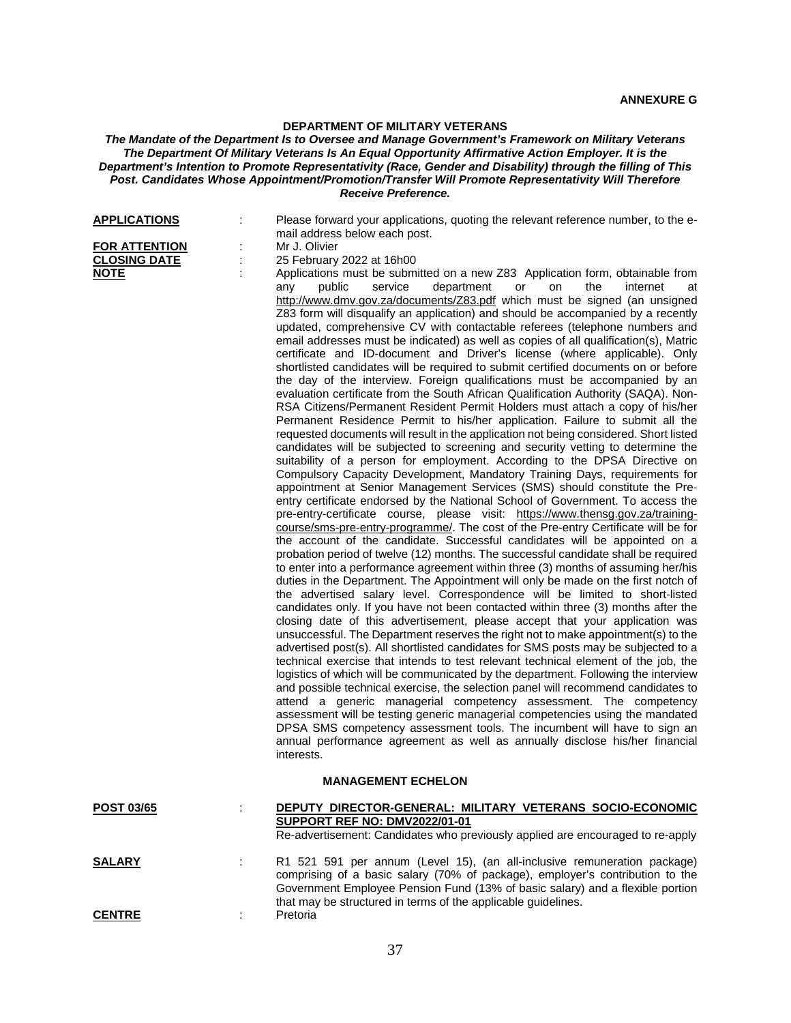## **DEPARTMENT OF MILITARY VETERANS**

## *The Mandate of the Department Is to Oversee and Manage Government's Framework on Military Veterans The Department Of Military Veterans Is An Equal Opportunity Affirmative Action Employer. It is the Department's Intention to Promote Representativity (Race, Gender and Disability) through the filling of This Post. Candidates Whose Appointment/Promotion/Transfer Will Promote Representativity Will Therefore Receive Preference.*

| <b>APPLICATIONS</b><br><b>FOR ATTENTION</b><br><b>CLOSING DATE</b><br><b>NOTE</b> |  | Please forward your applications, quoting the relevant reference number, to the e-<br>mail address below each post.<br>Mr J. Olivier<br>25 February 2022 at 16h00<br>Applications must be submitted on a new Z83 Application form, obtainable from<br>public<br>service<br>department<br>or<br>on<br>the<br>internet<br>any<br>at<br>http://www.dmv.gov.za/documents/Z83.pdf which must be signed (an unsigned<br>Z83 form will disqualify an application) and should be accompanied by a recently<br>updated, comprehensive CV with contactable referees (telephone numbers and<br>email addresses must be indicated) as well as copies of all qualification(s), Matric<br>certificate and ID-document and Driver's license (where applicable). Only<br>shortlisted candidates will be required to submit certified documents on or before<br>the day of the interview. Foreign qualifications must be accompanied by an<br>evaluation certificate from the South African Qualification Authority (SAQA). Non-<br>RSA Citizens/Permanent Resident Permit Holders must attach a copy of his/her<br>Permanent Residence Permit to his/her application. Failure to submit all the<br>requested documents will result in the application not being considered. Short listed<br>candidates will be subjected to screening and security vetting to determine the<br>suitability of a person for employment. According to the DPSA Directive on<br>Compulsory Capacity Development, Mandatory Training Days, requirements for<br>appointment at Senior Management Services (SMS) should constitute the Pre-<br>entry certificate endorsed by the National School of Government. To access the<br>pre-entry-certificate course, please visit: https://www.thensg.gov.za/training-<br>course/sms-pre-entry-programme/. The cost of the Pre-entry Certificate will be for<br>the account of the candidate. Successful candidates will be appointed on a<br>probation period of twelve (12) months. The successful candidate shall be required<br>to enter into a performance agreement within three (3) months of assuming her/his<br>duties in the Department. The Appointment will only be made on the first notch of<br>the advertised salary level. Correspondence will be limited to short-listed<br>candidates only. If you have not been contacted within three (3) months after the<br>closing date of this advertisement, please accept that your application was<br>unsuccessful. The Department reserves the right not to make appointment(s) to the<br>advertised post(s). All shortlisted candidates for SMS posts may be subjected to a<br>technical exercise that intends to test relevant technical element of the job, the<br>logistics of which will be communicated by the department. Following the interview<br>and possible technical exercise, the selection panel will recommend candidates to<br>attend a generic managerial competency assessment. The competency<br>assessment will be testing generic managerial competencies using the mandated<br>DPSA SMS competency assessment tools. The incumbent will have to sign an<br>annual performance agreement as well as annually disclose his/her financial<br>interests. |  |
|-----------------------------------------------------------------------------------|--|----------------------------------------------------------------------------------------------------------------------------------------------------------------------------------------------------------------------------------------------------------------------------------------------------------------------------------------------------------------------------------------------------------------------------------------------------------------------------------------------------------------------------------------------------------------------------------------------------------------------------------------------------------------------------------------------------------------------------------------------------------------------------------------------------------------------------------------------------------------------------------------------------------------------------------------------------------------------------------------------------------------------------------------------------------------------------------------------------------------------------------------------------------------------------------------------------------------------------------------------------------------------------------------------------------------------------------------------------------------------------------------------------------------------------------------------------------------------------------------------------------------------------------------------------------------------------------------------------------------------------------------------------------------------------------------------------------------------------------------------------------------------------------------------------------------------------------------------------------------------------------------------------------------------------------------------------------------------------------------------------------------------------------------------------------------------------------------------------------------------------------------------------------------------------------------------------------------------------------------------------------------------------------------------------------------------------------------------------------------------------------------------------------------------------------------------------------------------------------------------------------------------------------------------------------------------------------------------------------------------------------------------------------------------------------------------------------------------------------------------------------------------------------------------------------------------------------------------------------------------------------------------------------------------------------------------------------------------------------------------------------------------------------------------------------------------------------------------------------------------------------------------------------------------------------------------------------------------------------------------|--|
| <b>MANAGEMENT ECHELON</b>                                                         |  |                                                                                                                                                                                                                                                                                                                                                                                                                                                                                                                                                                                                                                                                                                                                                                                                                                                                                                                                                                                                                                                                                                                                                                                                                                                                                                                                                                                                                                                                                                                                                                                                                                                                                                                                                                                                                                                                                                                                                                                                                                                                                                                                                                                                                                                                                                                                                                                                                                                                                                                                                                                                                                                                                                                                                                                                                                                                                                                                                                                                                                                                                                                                                                                                                                              |  |
| <u>POST 03/65</u>                                                                 |  | DEPUTY DIRECTOR-GENERAL: MILITARY VETERANS SOCIO-ECONOMIC<br>SUPPORT REF NO: DMV2022/01-01<br>Re-advertisement: Candidates who previously applied are encouraged to re-apply                                                                                                                                                                                                                                                                                                                                                                                                                                                                                                                                                                                                                                                                                                                                                                                                                                                                                                                                                                                                                                                                                                                                                                                                                                                                                                                                                                                                                                                                                                                                                                                                                                                                                                                                                                                                                                                                                                                                                                                                                                                                                                                                                                                                                                                                                                                                                                                                                                                                                                                                                                                                                                                                                                                                                                                                                                                                                                                                                                                                                                                                 |  |
| <b>SALARY</b>                                                                     |  | R1 521 591 per annum (Level 15), (an all-inclusive remuneration package)<br>comprising of a basic salary (70% of package), employer's contribution to the<br>Government Employee Pension Fund (13% of basic salary) and a flexible portion<br>that may be structured in terms of the applicable guidelines.                                                                                                                                                                                                                                                                                                                                                                                                                                                                                                                                                                                                                                                                                                                                                                                                                                                                                                                                                                                                                                                                                                                                                                                                                                                                                                                                                                                                                                                                                                                                                                                                                                                                                                                                                                                                                                                                                                                                                                                                                                                                                                                                                                                                                                                                                                                                                                                                                                                                                                                                                                                                                                                                                                                                                                                                                                                                                                                                  |  |

**CENTRE** : Pretoria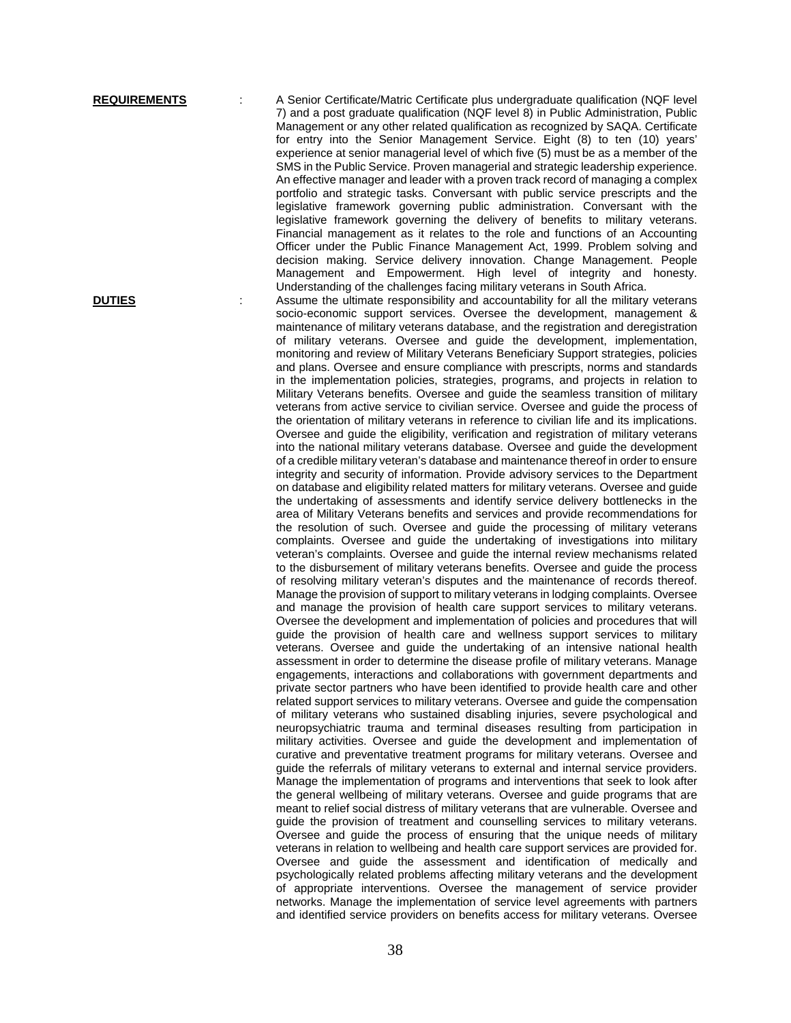**REQUIREMENTS** : A Senior Certificate/Matric Certificate plus undergraduate qualification (NQF level 7) and a post graduate qualification (NQF level 8) in Public Administration, Public Management or any other related qualification as recognized by SAQA. Certificate for entry into the Senior Management Service. Eight (8) to ten (10) years' experience at senior managerial level of which five (5) must be as a member of the SMS in the Public Service. Proven managerial and strategic leadership experience. An effective manager and leader with a proven track record of managing a complex portfolio and strategic tasks. Conversant with public service prescripts and the legislative framework governing public administration. Conversant with the legislative framework governing the delivery of benefits to military veterans. Financial management as it relates to the role and functions of an Accounting Officer under the Public Finance Management Act, 1999. Problem solving and decision making. Service delivery innovation. Change Management. People Management and Empowerment. High level of integrity and honesty. Understanding of the challenges facing military veterans in South Africa.

**DUTIES** : Assume the ultimate responsibility and accountability for all the military veterans socio-economic support services. Oversee the development, management & maintenance of military veterans database, and the registration and deregistration of military veterans. Oversee and guide the development, implementation, monitoring and review of Military Veterans Beneficiary Support strategies, policies and plans. Oversee and ensure compliance with prescripts, norms and standards in the implementation policies, strategies, programs, and projects in relation to Military Veterans benefits. Oversee and guide the seamless transition of military veterans from active service to civilian service. Oversee and guide the process of the orientation of military veterans in reference to civilian life and its implications. Oversee and guide the eligibility, verification and registration of military veterans into the national military veterans database. Oversee and guide the development of a credible military veteran's database and maintenance thereof in order to ensure integrity and security of information. Provide advisory services to the Department on database and eligibility related matters for military veterans. Oversee and guide the undertaking of assessments and identify service delivery bottlenecks in the area of Military Veterans benefits and services and provide recommendations for the resolution of such. Oversee and guide the processing of military veterans complaints. Oversee and guide the undertaking of investigations into military veteran's complaints. Oversee and guide the internal review mechanisms related to the disbursement of military veterans benefits. Oversee and guide the process of resolving military veteran's disputes and the maintenance of records thereof. Manage the provision of support to military veterans in lodging complaints. Oversee and manage the provision of health care support services to military veterans. Oversee the development and implementation of policies and procedures that will guide the provision of health care and wellness support services to military veterans. Oversee and guide the undertaking of an intensive national health assessment in order to determine the disease profile of military veterans. Manage engagements, interactions and collaborations with government departments and private sector partners who have been identified to provide health care and other related support services to military veterans. Oversee and guide the compensation of military veterans who sustained disabling injuries, severe psychological and neuropsychiatric trauma and terminal diseases resulting from participation in military activities. Oversee and guide the development and implementation of curative and preventative treatment programs for military veterans. Oversee and guide the referrals of military veterans to external and internal service providers. Manage the implementation of programs and interventions that seek to look after the general wellbeing of military veterans. Oversee and guide programs that are meant to relief social distress of military veterans that are vulnerable. Oversee and guide the provision of treatment and counselling services to military veterans. Oversee and guide the process of ensuring that the unique needs of military veterans in relation to wellbeing and health care support services are provided for. Oversee and guide the assessment and identification of medically and psychologically related problems affecting military veterans and the development of appropriate interventions. Oversee the management of service provider networks. Manage the implementation of service level agreements with partners and identified service providers on benefits access for military veterans. Oversee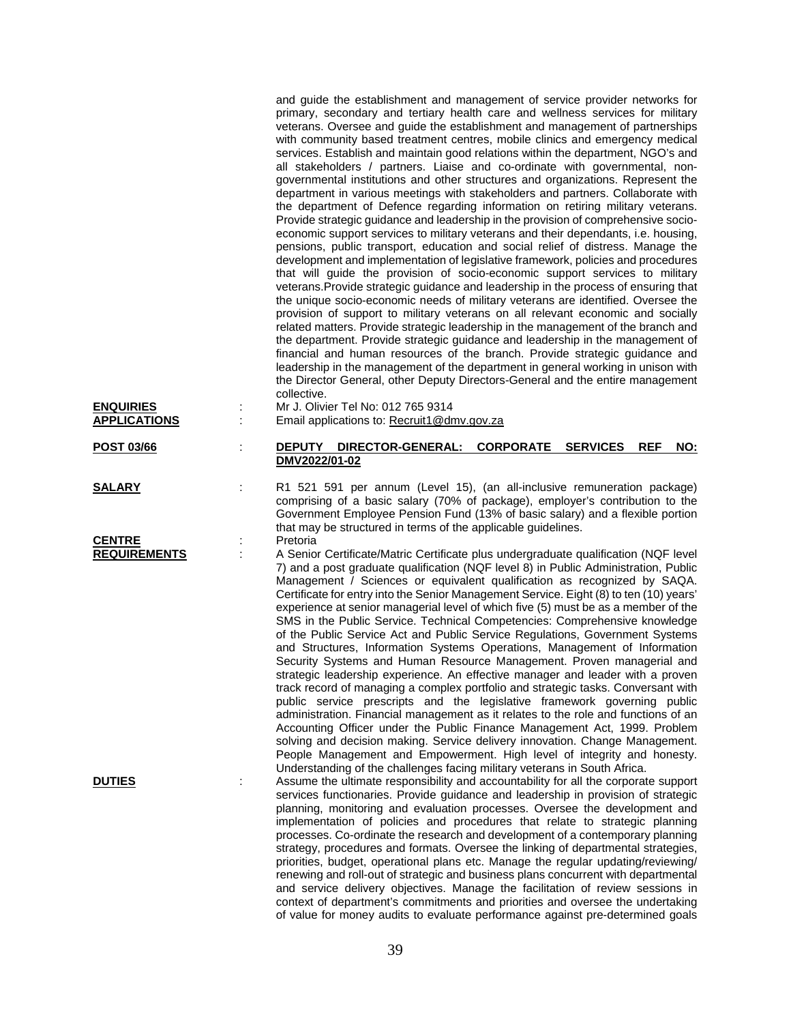|                                         |   | and guide the establishment and management of service provider networks for<br>primary, secondary and tertiary health care and wellness services for military<br>veterans. Oversee and guide the establishment and management of partnerships<br>with community based treatment centres, mobile clinics and emergency medical<br>services. Establish and maintain good relations within the department, NGO's and<br>all stakeholders / partners. Liaise and co-ordinate with governmental, non-<br>governmental institutions and other structures and organizations. Represent the<br>department in various meetings with stakeholders and partners. Collaborate with<br>the department of Defence regarding information on retiring military veterans.<br>Provide strategic guidance and leadership in the provision of comprehensive socio-<br>economic support services to military veterans and their dependants, i.e. housing,<br>pensions, public transport, education and social relief of distress. Manage the<br>development and implementation of legislative framework, policies and procedures<br>that will guide the provision of socio-economic support services to military<br>veterans. Provide strategic guidance and leadership in the process of ensuring that<br>the unique socio-economic needs of military veterans are identified. Oversee the<br>provision of support to military veterans on all relevant economic and socially<br>related matters. Provide strategic leadership in the management of the branch and<br>the department. Provide strategic guidance and leadership in the management of<br>financial and human resources of the branch. Provide strategic guidance and<br>leadership in the management of the department in general working in unison with<br>the Director General, other Deputy Directors-General and the entire management<br>collective. |
|-----------------------------------------|---|------------------------------------------------------------------------------------------------------------------------------------------------------------------------------------------------------------------------------------------------------------------------------------------------------------------------------------------------------------------------------------------------------------------------------------------------------------------------------------------------------------------------------------------------------------------------------------------------------------------------------------------------------------------------------------------------------------------------------------------------------------------------------------------------------------------------------------------------------------------------------------------------------------------------------------------------------------------------------------------------------------------------------------------------------------------------------------------------------------------------------------------------------------------------------------------------------------------------------------------------------------------------------------------------------------------------------------------------------------------------------------------------------------------------------------------------------------------------------------------------------------------------------------------------------------------------------------------------------------------------------------------------------------------------------------------------------------------------------------------------------------------------------------------------------------------------------------------------------------------------------------------------------|
| <b>ENQUIRIES</b><br><b>APPLICATIONS</b> |   | Mr J. Olivier Tel No: 012 765 9314<br>Email applications to: Recruit1@dmv.gov.za                                                                                                                                                                                                                                                                                                                                                                                                                                                                                                                                                                                                                                                                                                                                                                                                                                                                                                                                                                                                                                                                                                                                                                                                                                                                                                                                                                                                                                                                                                                                                                                                                                                                                                                                                                                                                     |
| <b>POST 03/66</b>                       |   | DEPUTY DIRECTOR-GENERAL: CORPORATE SERVICES<br><b>REF</b><br><b>NO:</b><br>DMV2022/01-02                                                                                                                                                                                                                                                                                                                                                                                                                                                                                                                                                                                                                                                                                                                                                                                                                                                                                                                                                                                                                                                                                                                                                                                                                                                                                                                                                                                                                                                                                                                                                                                                                                                                                                                                                                                                             |
| <b>SALARY</b>                           |   | R1 521 591 per annum (Level 15), (an all-inclusive remuneration package)<br>comprising of a basic salary (70% of package), employer's contribution to the<br>Government Employee Pension Fund (13% of basic salary) and a flexible portion<br>that may be structured in terms of the applicable guidelines.                                                                                                                                                                                                                                                                                                                                                                                                                                                                                                                                                                                                                                                                                                                                                                                                                                                                                                                                                                                                                                                                                                                                                                                                                                                                                                                                                                                                                                                                                                                                                                                          |
| <b>CENTRE</b><br><b>REQUIREMENTS</b>    |   | Pretoria<br>A Senior Certificate/Matric Certificate plus undergraduate qualification (NQF level<br>7) and a post graduate qualification (NQF level 8) in Public Administration, Public<br>Management / Sciences or equivalent qualification as recognized by SAQA.<br>Certificate for entry into the Senior Management Service. Eight (8) to ten (10) years'<br>experience at senior managerial level of which five (5) must be as a member of the<br>SMS in the Public Service. Technical Competencies: Comprehensive knowledge<br>of the Public Service Act and Public Service Regulations, Government Systems<br>and Structures, Information Systems Operations, Management of Information<br>Security Systems and Human Resource Management. Proven managerial and<br>strategic leadership experience. An effective manager and leader with a proven<br>track record of managing a complex portfolio and strategic tasks. Conversant with<br>public service prescripts and the legislative framework governing public<br>administration. Financial management as it relates to the role and functions of an<br>Accounting Officer under the Public Finance Management Act, 1999. Problem<br>solving and decision making. Service delivery innovation. Change Management.<br>People Management and Empowerment. High level of integrity and honesty.<br>Understanding of the challenges facing military veterans in South Africa.                                                                                                                                                                                                                                                                                                                                                                                                                                                                 |
| <b>DUTIES</b>                           | ÷ | Assume the ultimate responsibility and accountability for all the corporate support<br>services functionaries. Provide guidance and leadership in provision of strategic<br>planning, monitoring and evaluation processes. Oversee the development and<br>implementation of policies and procedures that relate to strategic planning<br>processes. Co-ordinate the research and development of a contemporary planning<br>strategy, procedures and formats. Oversee the linking of departmental strategies,<br>priorities, budget, operational plans etc. Manage the regular updating/reviewing/<br>renewing and roll-out of strategic and business plans concurrent with departmental<br>and service delivery objectives. Manage the facilitation of review sessions in<br>context of department's commitments and priorities and oversee the undertaking<br>of value for money audits to evaluate performance against pre-determined goals                                                                                                                                                                                                                                                                                                                                                                                                                                                                                                                                                                                                                                                                                                                                                                                                                                                                                                                                                        |